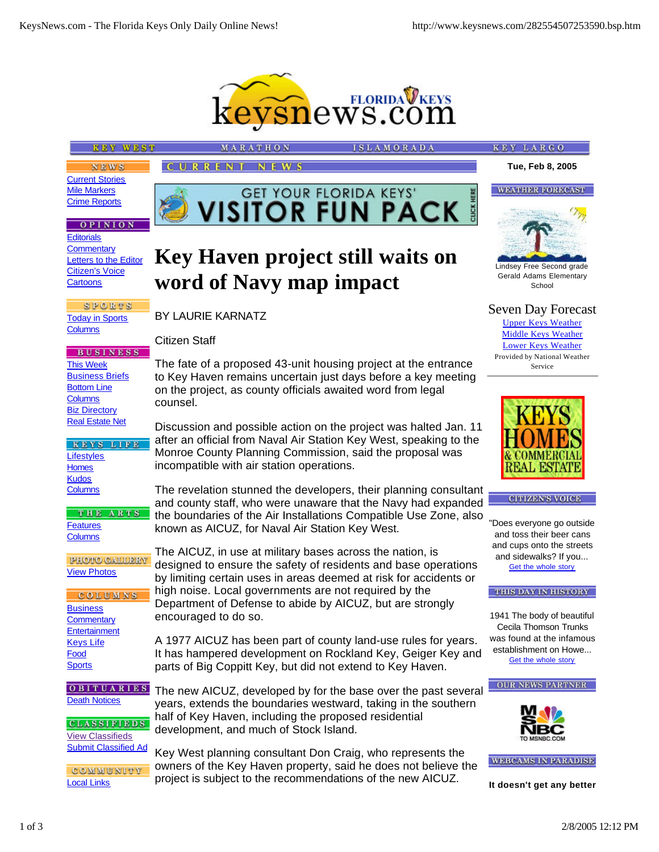

**VISITOR FLORIDA KEYS' CK # GET YOUR FLORIDA KEYS'** 

**Key Haven project still waits on**

The fate of a proposed 43-unit housing project at the entrance to Key Haven remains uncertain just days before a key meeting on the project, as county officials awaited word from legal

Discussion and possible action on the project was halted Jan. 11 after an official from Naval Air Station Key West, speaking to the Monroe County Planning Commission, said the proposal was

The revelation stunned the developers, their planning consultant and county staff, who were unaware that the Navy had expanded the boundaries of the Air Installations Compatible Use Zone, also

designed to ensure the safety of residents and base operations by limiting certain uses in areas deemed at risk for accidents or

A 1977 AICUZ has been part of county land-use rules for years. It has hampered development on Rockland Key, Geiger Key and

The new AICUZ, developed by for the base over the past several years, extends the boundaries westward, taking in the southern

parts of Big Coppitt Key, but did not extend to Key Haven.

half of Key Haven, including the proposed residential

development, and much of Stock Island.

**word of Navy map impact**

incompatible with air station operations.

known as AICUZ, for Naval Air Station Key West.

The AICUZ, in use at military bases across the nation, is

high noise. Local governments are not required by the Department of Defense to abide by AICUZ, but are strongly

**KEY WEST** 

MARATHO CURRENT **NEWS** 

BY LAURIE KARNATZ

encouraged to do so.

Citizen Staff

counsel.

**SLAMORADA** 

**NEWS** Current Stories Mile Markers Crime Reports

## **OPINION**

**Editorials Commentary** Letters to the Editor Citizen's Voice **Cartoons** 

**SPORTS** Today in Sports **Columns** 

**BUSINESS** This Week **Business Briefs** Bottom Line **Columns** Biz Directory Real Estate Net

KEYS LIFE **Lifestyles Homes Kudos Columns** 

THE ARTS **Features Columns** 

**PHOTO GALLERY** View Photos

COLUMNS **Business Commentary Entertainment** Keys Life Food **Sports** 

**OBITUARIES** Death Notices

**CLASSIFIEDS** View Classifieds Submit Classified Ad

COMMUNITY Local Links

Key West planning consultant Don Craig, who represents the owners of the Key Haven property, said he does not believe the project is subject to the recommendations of the new AICUZ.



Gerald Adams Elementary **School** 

Seven Day Forecast

Upper Keys Weather Middle Keys Weather Lower Keys Weather Provided by National Weather Service



**CITIZEN'S VOICE** 

"Does everyone go outside and toss their beer cans and cups onto the streets and sidewalks? If you... Get the whole story

THIS DAY IN HISTORY

1941 The body of beautiful Cecila Thomson Trunks was found at the infamous establishment on Howe... Get the whole story





**WEBCAMS IN PARADISE** 

**It doesn't get any better**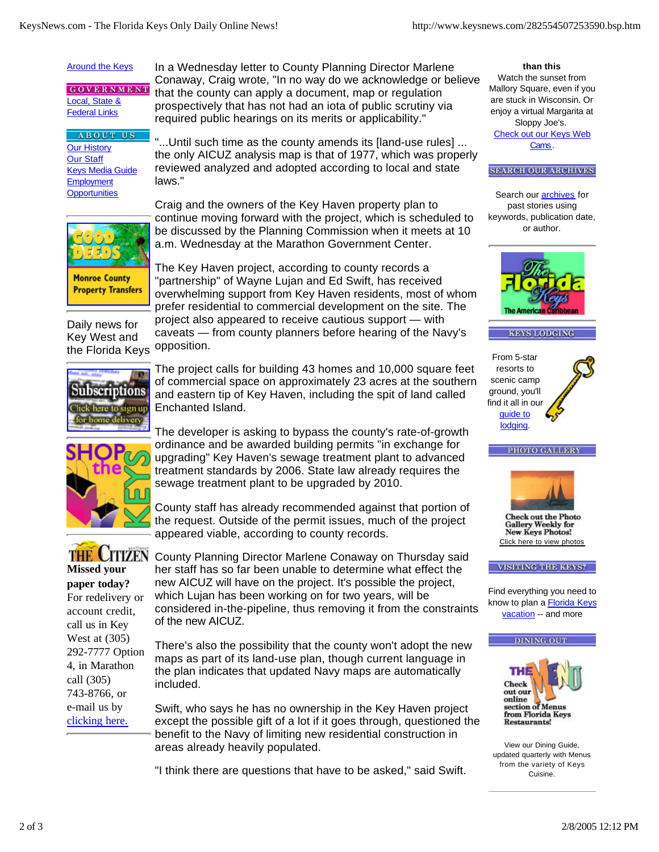## **Around the Keys**

**GOVERNMENT** Local, State & **Federal Links** 

## **ABOUT US** Our History Our Staff Keys Media Guide **Employment Opportunities**

In a Wednesday letter to County Planning Director Marlene Conaway, Craig wrote, "In no way do we acknowledge or believe that the county can apply a document, map or regulation prospectively that has not had an iota of public scrutiny via required public hearings on its merits or applicability."

"...Until such time as the county amends its [land-use rules] ... the only AICUZ analysis map is that of 1977, which was properly reviewed analyzed and adopted according to local and state laws."



**Property Transfers** 

Craig and the owners of the Key Haven property plan to continue moving forward with the project, which is scheduled to be discussed by the Planning Commission when it meets at 10 a.m. Wednesday at the Marathon Government Center.

The Key Haven project, according to county records a "partnership" of Wayne Lujan and Ed Swift, has received overwhelming support from Key Haven residents, most of whom prefer residential to commercial development on the site. The project also appeared to receive cautious support — with caveats — from county planners before hearing of the Navy's opposition.



Daily news for Key West and the Florida Keys

> The project calls for building 43 homes and 10,000 square feet of commercial space on approximately 23 acres at the southern and eastern tip of Key Haven, including the spit of land called Enchanted Island.



The developer is asking to bypass the county's rate-of-growth ordinance and be awarded building permits "in exchange for upgrading" Key Haven's sewage treatment plant to advanced treatment standards by 2006. State law already requires the sewage treatment plant to be upgraded by 2010.

County staff has already recommended against that portion of the request. Outside of the permit issues, much of the project appeared viable, according to county records.



**Missed your paper today?** For redelivery or account credit, call us in Key West at (305) 292-7777 Option 4, in Marathon call (305) 743-8766, or e-mail us by clicking here.

THE CITIZEN County Planning Director Marlene Conaway on Thursday said her staff has so far been unable to determine what effect the new AICUZ will have on the project. It's possible the project, which Lujan has been working on for two years, will be considered in-the-pipeline, thus removing it from the constraints of the new AICUZ.

> There's also the possibility that the county won't adopt the new maps as part of its land-use plan, though current language in the plan indicates that updated Navy maps are automatically included.

Swift, who says he has no ownership in the Key Haven project except the possible gift of a lot if it goes through, questioned the benefit to the Navy of limiting new residential construction in areas already heavily populated.

"I think there are questions that have to be asked," said Swift.

**than this** Watch the sunset from Mallory Square, even if you are stuck in Wisconsin. Or enjoy a virtual Margarita at Sloppy Joe's. Check out our Keys Web Cams.

**SEARCH OUR ARCHIVES** 

Search our **archives** for past stories using keywords, publication date, or author.









PHOTO GALLERY

**Check out the Photo Gallery Weekly for New Keys Photos!** Click here to view photos

VISITING THE KEYS?

Find everything you need to know to plan a Florida Keys vacation -- and more





View our Dining Guide, updated quarterly with Menus from the variety of Keys Cuisine.